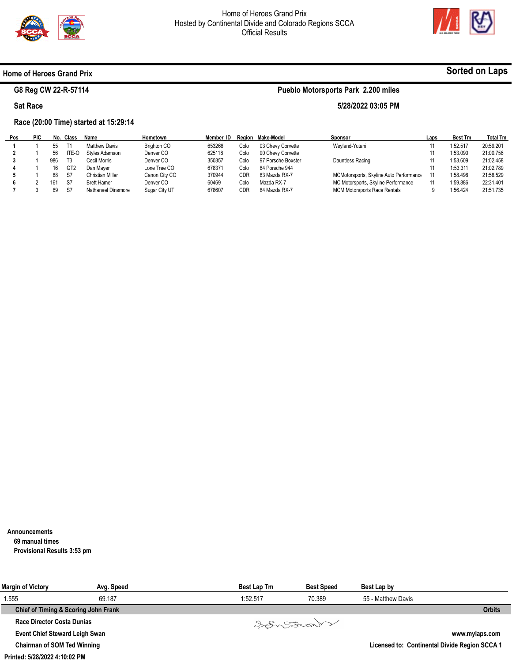

**Pueblo Motorsports Park 2.200 miles** 

**5/28/2022 03:05 PM** 



**Sorted on Laps**

### **Home of Heroes Grand Prix**

# **G8 Reg CW 22-R-57114**

### **Sat Race**

## **Race (20:00 Time) started at 15:29:14**

| Pos | <b>PIC</b> | No. | Class           | Name               | Hometown      | Member ID |      | Region Make-Model  | Sponsor                                 | Laps | <b>Best Tm</b> | <b>Total Tm</b> |
|-----|------------|-----|-----------------|--------------------|---------------|-----------|------|--------------------|-----------------------------------------|------|----------------|-----------------|
|     |            | 55  |                 | Matthew Davis      | Brighton CO   | 653266    | Colo | 03 Chevy Corvette  | Weyland-Yutani                          |      | 1:52.517       | 20:59.201       |
|     |            | 56  | ITE-C           | Styles Adamson     | Denver CO     | 625118    | Colo | 90 Chevy Corvette  |                                         |      | 1:53.090       | 21:00.756       |
|     |            | 986 | T3              | Cecil Morris       | Denver CO     | 350357    | Colo | 97 Porsche Boxster | Dauntless Racing                        |      | 1:53.609       | 21:02.458       |
|     |            | 16  | GT <sub>2</sub> | Dan Maver          | Lone Tree CO  | 678371    | Colo | 84 Porsche 944     |                                         |      | 1:53.311       | 21:02.789       |
|     |            | 88  | -S7             | Christian Miller   | Canon City CO | 370944    | CDR  | 83 Mazda RX-7      | MCMotorsports, Skyline Auto Performance |      | 1:58.498       | 21:58.529       |
|     |            | 161 | S7              | <b>Brett Hamer</b> | Denver CO     | 60469     | Colo | Mazda RX-7         | MC Motorsports, Skyline Performance     |      | 1:59.886       | 22:31.401       |
|     |            | 69  | S7              | Nathanael Dinsmore | Sugar City UT | 678607    | CDR  | 84 Mazda RX-7      | <b>MCM Motorsports Race Rentals</b>     |      | 1:56.424       | 21:51.735       |

**Announcements 69 manual times Provisional Results 3:53 pm** 

| Margin of Victory                     | Avg. Speed                           | <b>Best Lap Tm</b> | <b>Best Speed</b> | Best Lap by        |                                               |
|---------------------------------------|--------------------------------------|--------------------|-------------------|--------------------|-----------------------------------------------|
| 1.555                                 | 69.187                               | 1:52.517           | 70.389            | 55 - Matthew Davis |                                               |
|                                       | Chief of Timing & Scoring John Frank |                    |                   |                    | <b>Orbits</b>                                 |
| <b>Race Director Costa Dunias</b>     |                                      |                    | Varant            |                    |                                               |
| <b>Event Chief Steward Leigh Swan</b> |                                      |                    |                   |                    | www.mylaps.com                                |
| <b>Chairman of SOM Ted Winning</b>    |                                      |                    |                   |                    | Licensed to: Continental Divide Region SCCA 1 |